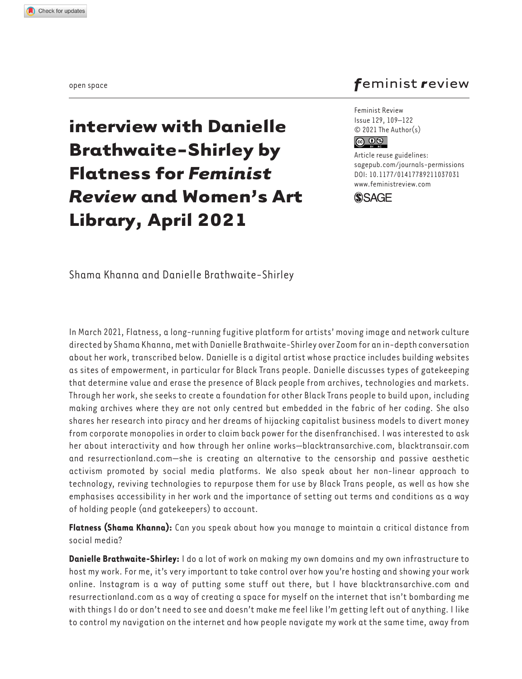## *f*eminist *r*eview

**interview with Danielle Brathwaite-Shirley by Flatness for** *Feminist Review* **and Women's Art Library, April 2021**

Feminist Review Issue 129, 109–122 © 2021 The Author(s)  $\circledcirc$   $\circledcirc$ 

[DOI: 10.1177/014177892110370](http://doi.org/10.1177/01417789211037031)31 Article reuse guidelines: [sagepub.com/journals-permissions](https://uk.sagepub.com/en-gb/journals-permissions) www.feministreview.com



Shama Khanna and Danielle Brathwaite-Shirley

In March 2021, Flatness, a long-running fugitive platform for artists' moving image and network culture directed by Shama Khanna, met with Danielle Brathwaite-Shirley over Zoom for an in-depth conversation about her work, transcribed below. Danielle is a digital artist whose practice includes building websites as sites of empowerment, in particular for Black Trans people. Danielle discusses types of gatekeeping that determine value and erase the presence of Black people from archives, technologies and markets. Through her work, she seeks to create a foundation for other Black Trans people to build upon, including making archives where they are not only centred but embedded in the fabric of her coding. She also shares her research into piracy and her dreams of hijacking capitalist business models to divert money from corporate monopolies in order to claim back power for the disenfranchised. I was interested to ask her about interactivity and how through her online works—blacktransarchive.com, blacktransair.com and resurrectionland.com—she is creating an alternative to the censorship and passive aesthetic activism promoted by social media platforms. We also speak about her non-linear approach to technology, reviving technologies to repurpose them for use by Black Trans people, as well as how she emphasises accessibility in her work and the importance of setting out terms and conditions as a way of holding people (and gatekeepers) to account.

**Flatness (Shama Khanna):** Can you speak about how you manage to maintain a critical distance from social media?

**Danielle Brathwaite-Shirley:** I do a lot of work on making my own domains and my own infrastructure to host my work. For me, it's very important to take control over how you're hosting and showing your work online. Instagram is a way of putting some stuff out there, but I have blacktransarchive.com and resurrectionland.com as a way of creating a space for myself on the internet that isn't bombarding me with things I do or don't need to see and doesn't make me feel like I'm getting left out of anything. I like to control my navigation on the internet and how people navigate my work at the same time, away from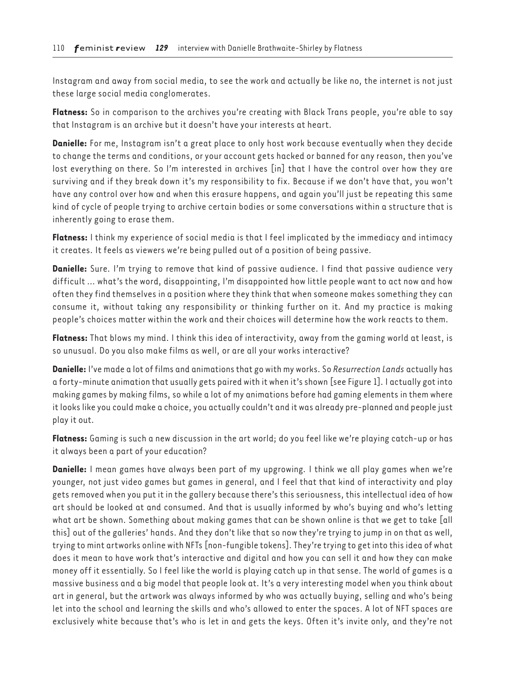Instagram and away from social media, to see the work and actually be like no, the internet is not just these large social media conglomerates.

**Flatness:** So in comparison to the archives you're creating with Black Trans people, you're able to say that Instagram is an archive but it doesn't have your interests at heart.

**Danielle:** For me, Instagram isn't a great place to only host work because eventually when they decide to change the terms and conditions, or your account gets hacked or banned for any reason, then you've lost everything on there. So I'm interested in archives [in] that I have the control over how they are surviving and if they break down it's my responsibility to fix. Because if we don't have that, you won't have any control over how and when this erasure happens, and again you'll just be repeating this same kind of cycle of people trying to archive certain bodies or some conversations within a structure that is inherently going to erase them.

**Flatness:** I think my experience of social media is that I feel implicated by the immediacy and intimacy it creates. It feels as viewers we're being pulled out of a position of being passive.

**Danielle:** Sure. I'm trying to remove that kind of passive audience. I find that passive audience very difficult … what's the word, disappointing, I'm disappointed how little people want to act now and how often they find themselves in a position where they think that when someone makes something they can consume it, without taking any responsibility or thinking further on it. And my practice is making people's choices matter within the work and their choices will determine how the work reacts to them.

**Flatness:** That blows my mind. I think this idea of interactivity, away from the gaming world at least, is so unusual. Do you also make films as well, or are all your works interactive?

**Danielle:** I've made a lot of films and animations that go with my works. So *Resurrection Lands* actually has a forty-minute animation that usually gets paired with it when it's shown [see Figure 1]. I actually got into making games by making films, so while a lot of my animations before had gaming elements in them where it looks like you could make a choice, you actually couldn't and it was already pre-planned and people just play it out.

**Flatness:** Gaming is such a new discussion in the art world; do you feel like we're playing catch-up or has it always been a part of your education?

**Danielle:** I mean games have always been part of my upgrowing. I think we all play games when we're younger, not just video games but games in general, and I feel that that kind of interactivity and play gets removed when you put it in the gallery because there's this seriousness, this intellectual idea of how art should be looked at and consumed. And that is usually informed by who's buying and who's letting what art be shown. Something about making games that can be shown online is that we get to take [all this] out of the galleries' hands. And they don't like that so now they're trying to jump in on that as well, trying to mint artworks online with NFTs [non-fungible tokens]. They're trying to get into this idea of what does it mean to have work that's interactive and digital and how you can sell it and how they can make money off it essentially. So I feel like the world is playing catch up in that sense. The world of games is a massive business and a big model that people look at. It's a very interesting model when you think about art in general, but the artwork was always informed by who was actually buying, selling and who's being let into the school and learning the skills and who's allowed to enter the spaces. A lot of NFT spaces are exclusively white because that's who is let in and gets the keys. Often it's invite only, and they're not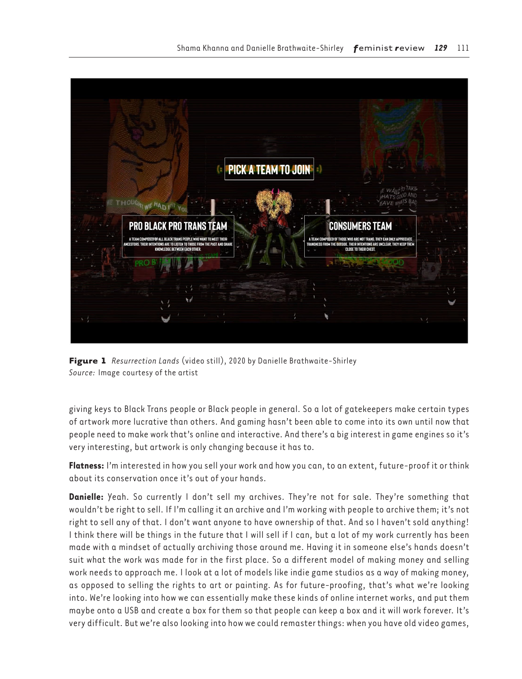



giving keys to Black Trans people or Black people in general. So a lot of gatekeepers make certain types of artwork more lucrative than others. And gaming hasn't been able to come into its own until now that people need to make work that's online and interactive. And there's a big interest in game engines so it's very interesting, but artwork is only changing because it has to.

**Flatness:** I'm interested in how you sell your work and how you can, to an extent, future-proof it or think about its conservation once it's out of your hands.

**Danielle:** Yeah. So currently I don't sell my archives. They're not for sale. They're something that wouldn't be right to sell. If I'm calling it an archive and I'm working with people to archive them; it's not right to sell any of that. I don't want anyone to have ownership of that. And so I haven't sold anything! I think there will be things in the future that I will sell if I can, but a lot of my work currently has been made with a mindset of actually archiving those around me. Having it in someone else's hands doesn't suit what the work was made for in the first place. So a different model of making money and selling work needs to approach me. I look at a lot of models like indie game studios as a way of making money, as opposed to selling the rights to art or painting. As for future-proofing, that's what we're looking into. We're looking into how we can essentially make these kinds of online internet works, and put them maybe onto a USB and create a box for them so that people can keep a box and it will work forever. It's very difficult. But we're also looking into how we could remaster things: when you have old video games,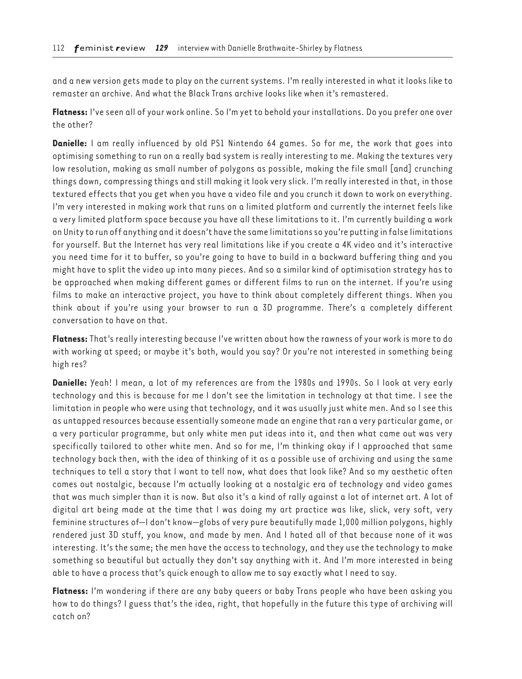and a new version gets made to play on the current systems. I'm really interested in what it looks like to remaster an archive. And what the Black Trans archive looks like when it's remastered.

**Flatness:** I've seen all of your work online. So I'm yet to behold your installations. Do you prefer one over the other?

**Danielle:** I am really influenced by old PS1 Nintendo 64 games. So for me, the work that goes into optimising something to run on a really bad system is really interesting to me. Making the textures very low resolution, making as small number of polygons as possible, making the file small [and] crunching things down, compressing things and still making it look very slick. I'm really interested in that, in those textured effects that you get when you have a video file and you crunch it down to work on everything. I'm very interested in making work that runs on a limited platform and currently the internet feels like a very limited platform space because you have all these limitations to it. I'm currently building a work on Unity to run off anything and it doesn't have the same limitations so you're putting in false limitations for yourself. But the Internet has very real limitations like if you create a 4K video and it's interactive you need time for it to buffer, so you're going to have to build in a backward buffering thing and you might have to split the video up into many pieces. And so a similar kind of optimisation strategy has to be approached when making different games or different films to run on the internet. If you're using films to make an interactive project, you have to think about completely different things. When you think about if you're using your browser to run a 3D programme. There's a completely different conversation to have on that.

**Flatness:** That's really interesting because I've written about how the rawness of your work is more to do with working at speed; or maybe it's both, would you say? Or you're not interested in something being high res?

**Danielle:** Yeah! I mean, a lot of my references are from the 1980s and 1990s. So I look at very early technology and this is because for me I don't see the limitation in technology at that time. I see the limitation in people who were using that technology, and it was usually just white men. And so I see this as untapped resources because essentially someone made an engine that ran a very particular game, or a very particular programme, but only white men put ideas into it, and then what came out was very specifically tailored to other white men. And so for me, I'm thinking okay if I approached that same technology back then, with the idea of thinking of it as a possible use of archiving and using the same techniques to tell a story that I want to tell now, what does that look like? And so my aesthetic often comes out nostalgic, because I'm actually looking at a nostalgic era of technology and video games that was much simpler than it is now. But also it's a kind of rally against a lot of internet art. A lot of digital art being made at the time that I was doing my art practice was like, slick, very soft, very feminine structures of—I don't know—globs of very pure beautifully made 1,000 million polygons, highly rendered just 3D stuff, you know, and made by men. And I hated all of that because none of it was interesting. It's the same; the men have the access to technology, and they use the technology to make something so beautiful but actually they don't say anything with it. And I'm more interested in being able to have a process that's quick enough to allow me to say exactly what I need to say.

**Flatness:** I'm wondering if there are any baby queers or baby Trans people who have been asking you how to do things? I guess that's the idea, right, that hopefully in the future this type of archiving will catch on?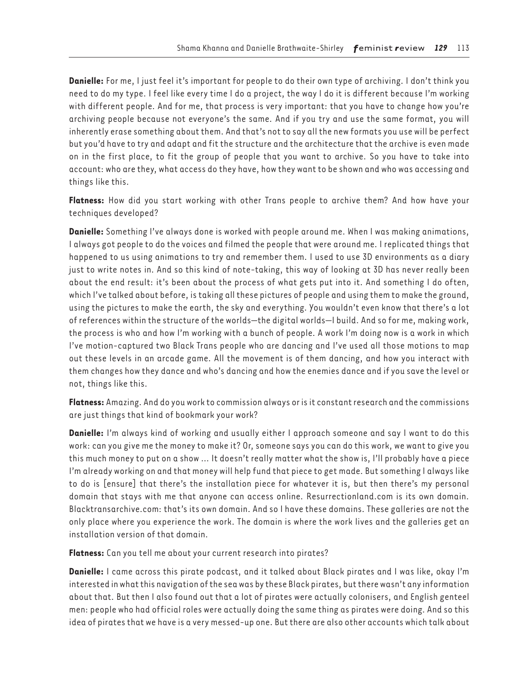**Danielle:** For me, I just feel it's important for people to do their own type of archiving. I don't think you need to do my type. I feel like every time I do a project, the way I do it is different because I'm working with different people. And for me, that process is very important: that you have to change how you're archiving people because not everyone's the same. And if you try and use the same format, you will inherently erase something about them. And that's not to say all the new formats you use will be perfect but you'd have to try and adapt and fit the structure and the architecture that the archive is even made on in the first place, to fit the group of people that you want to archive. So you have to take into account: who are they, what access do they have, how they want to be shown and who was accessing and things like this.

**Flatness:** How did you start working with other Trans people to archive them? And how have your techniques developed?

**Danielle:** Something I've always done is worked with people around me. When I was making animations, I always got people to do the voices and filmed the people that were around me. I replicated things that happened to us using animations to try and remember them. I used to use 3D environments as a diary just to write notes in. And so this kind of note-taking, this way of looking at 3D has never really been about the end result: it's been about the process of what gets put into it. And something I do often, which I've talked about before, is taking all these pictures of people and using them to make the ground, using the pictures to make the earth, the sky and everything. You wouldn't even know that there's a lot of references within the structure of the worlds—the digital worlds—I build. And so for me, making work, the process is who and how I'm working with a bunch of people. A work I'm doing now is a work in which I've motion-captured two Black Trans people who are dancing and I've used all those motions to map out these levels in an arcade game. All the movement is of them dancing, and how you interact with them changes how they dance and who's dancing and how the enemies dance and if you save the level or not, things like this.

**Flatness:** Amazing. And do you work to commission always or is it constant research and the commissions are just things that kind of bookmark your work?

**Danielle:** I'm always kind of working and usually either I approach someone and say I want to do this work: can you give me the money to make it? Or, someone says you can do this work, we want to give you this much money to put on a show … It doesn't really matter what the show is, I'll probably have a piece I'm already working on and that money will help fund that piece to get made. But something I always like to do is [ensure] that there's the installation piece for whatever it is, but then there's my personal domain that stays with me that anyone can access online. Resurrectionland.com is its own domain. Blacktransarchive.com: that's its own domain. And so I have these domains. These galleries are not the only place where you experience the work. The domain is where the work lives and the galleries get an installation version of that domain.

**Flatness:** Can you tell me about your current research into pirates?

**Danielle:** I came across this pirate podcast, and it talked about Black pirates and I was like, okay I'm interested in what this navigation of the sea was by these Black pirates, but there wasn't any information about that. But then I also found out that a lot of pirates were actually colonisers, and English genteel men: people who had official roles were actually doing the same thing as pirates were doing. And so this idea of pirates that we have is a very messed-up one. But there are also other accounts which talk about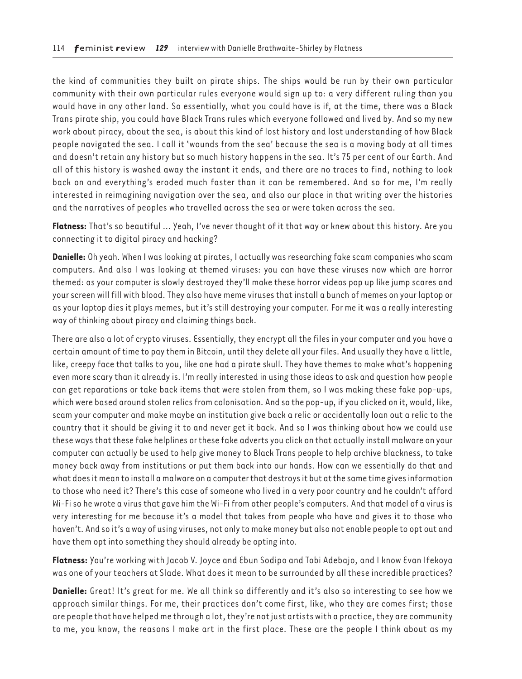the kind of communities they built on pirate ships. The ships would be run by their own particular community with their own particular rules everyone would sign up to: a very different ruling than you would have in any other land. So essentially, what you could have is if, at the time, there was a Black Trans pirate ship, you could have Black Trans rules which everyone followed and lived by. And so my new work about piracy, about the sea, is about this kind of lost history and lost understanding of how Black people navigated the sea. I call it 'wounds from the sea' because the sea is a moving body at all times and doesn't retain any history but so much history happens in the sea. It's 75 per cent of our Earth. And all of this history is washed away the instant it ends, and there are no traces to find, nothing to look back on and everything's eroded much faster than it can be remembered. And so for me, I'm really interested in reimagining navigation over the sea, and also our place in that writing over the histories and the narratives of peoples who travelled across the sea or were taken across the sea.

**Flatness:** That's so beautiful … Yeah, I've never thought of it that way or knew about this history. Are you connecting it to digital piracy and hacking?

**Danielle:** Oh yeah. When I was looking at pirates, I actually was researching fake scam companies who scam computers. And also I was looking at themed viruses: you can have these viruses now which are horror themed: as your computer is slowly destroyed they'll make these horror videos pop up like jump scares and your screen will fill with blood. They also have meme viruses that install a bunch of memes on your laptop or as your laptop dies it plays memes, but it's still destroying your computer. For me it was a really interesting way of thinking about piracy and claiming things back.

There are also a lot of crypto viruses. Essentially, they encrypt all the files in your computer and you have a certain amount of time to pay them in Bitcoin, until they delete all your files. And usually they have a little, like, creepy face that talks to you, like one had a pirate skull. They have themes to make what's happening even more scary than it already is. I'm really interested in using those ideas to ask and question how people can get reparations or take back items that were stolen from them, so I was making these fake pop-ups, which were based around stolen relics from colonisation. And so the pop-up, if you clicked on it, would, like, scam your computer and make maybe an institution give back a relic or accidentally loan out a relic to the country that it should be giving it to and never get it back. And so I was thinking about how we could use these ways that these fake helplines or these fake adverts you click on that actually install malware on your computer can actually be used to help give money to Black Trans people to help archive blackness, to take money back away from institutions or put them back into our hands. How can we essentially do that and what does it mean to install a malware on a computer that destroys it but at the same time gives information to those who need it? There's this case of someone who lived in a very poor country and he couldn't afford Wi-Fi so he wrote a virus that gave him the Wi-Fi from other people's computers. And that model of a virus is very interesting for me because it's a model that takes from people who have and gives it to those who haven't. And so it's a way of using viruses, not only to make money but also not enable people to opt out and have them opt into something they should already be opting into.

**Flatness:** You're working with Jacob V. Joyce and Ebun Sodipo and Tobi Adebajo, and I know Evan Ifekoya was one of your teachers at Slade. What does it mean to be surrounded by all these incredible practices?

**Danielle:** Great! It's great for me. We all think so differently and it's also so interesting to see how we approach similar things. For me, their practices don't come first, like, who they are comes first; those are people that have helped me through a lot, they're not just artists with a practice, they are community to me, you know, the reasons I make art in the first place. These are the people I think about as my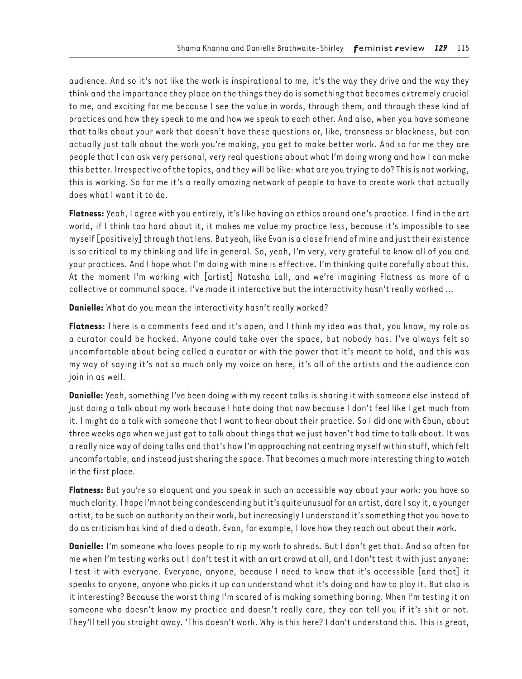audience. And so it's not like the work is inspirational to me, it's the way they drive and the way they think and the importance they place on the things they do is something that becomes extremely crucial to me, and exciting for me because I see the value in words, through them, and through these kind of practices and how they speak to me and how we speak to each other. And also, when you have someone that talks about your work that doesn't have these questions or, like, transness or blackness, but can actually just talk about the work you're making, you get to make better work. And so for me they are people that I can ask very personal, very real questions about what I'm doing wrong and how I can make this better. Irrespective of the topics, and they will be like: what are you trying to do? This is not working, this is working. So for me it's a really amazing network of people to have to create work that actually does what I want it to do.

**Flatness:** Yeah, I agree with you entirely, it's like having an ethics around one's practice. I find in the art world, if I think too hard about it, it makes me value my practice less, because it's impossible to see myself [positively] through that lens. But yeah, like Evan is a close friend of mine and just their existence is so critical to my thinking and life in general. So, yeah, I'm very, very grateful to know all of you and your practices. And I hope what I'm doing with mine is effective. I'm thinking quite carefully about this. At the moment I'm working with [artist] Natasha Lall, and we're imagining Flatness as more of a collective or communal space. I've made it interactive but the interactivity hasn't really worked …

**Danielle:** What do you mean the interactivity hasn't really worked?

**Flatness:** There is a comments feed and it's open, and I think my idea was that, you know, my role as a curator could be hacked. Anyone could take over the space, but nobody has. I've always felt so uncomfortable about being called a curator or with the power that it's meant to hold, and this was my way of saying it's not so much only my voice on here, it's all of the artists and the audience can join in as well.

**Danielle:** Yeah, something I've been doing with my recent talks is sharing it with someone else instead of just doing a talk about my work because I hate doing that now because I don't feel like I get much from it. I might do a talk with someone that I want to hear about their practice. So I did one with Ebun, about three weeks ago when we just got to talk about things that we just haven't had time to talk about. It was a really nice way of doing talks and that's how I'm approaching not centring myself within stuff, which felt uncomfortable, and instead just sharing the space. That becomes a much more interesting thing to watch in the first place.

**Flatness:** But you're so eloquent and you speak in such an accessible way about your work: you have so much clarity. I hope I'm not being condescending but it's quite unusual for an artist, dare I say it, a younger artist, to be such an authority on their work, but increasingly I understand it's something that you have to do as criticism has kind of died a death. Evan, for example, I love how they reach out about their work.

**Danielle:** I'm someone who loves people to rip my work to shreds. But I don't get that. And so often for me when I'm testing works out I don't test it with an art crowd at all, and I don't test it with just anyone: I test it with everyone. Everyone, anyone, because I need to know that it's accessible [and that] it speaks to anyone, anyone who picks it up can understand what it's doing and how to play it. But also is it interesting? Because the worst thing I'm scared of is making something boring. When I'm testing it on someone who doesn't know my practice and doesn't really care, they can tell you if it's shit or not. They'll tell you straight away. 'This doesn't work. Why is this here? I don't understand this. This is great,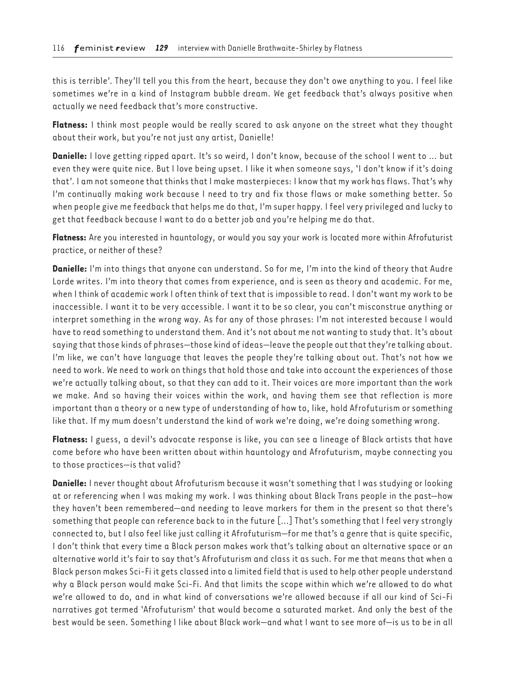this is terrible'. They'll tell you this from the heart, because they don't owe anything to you. I feel like sometimes we're in a kind of Instagram bubble dream. We get feedback that's always positive when actually we need feedback that's more constructive.

**Flatness:** I think most people would be really scared to ask anyone on the street what they thought about their work, but you're not just any artist, Danielle!

**Danielle:** I love getting ripped apart. It's so weird, I don't know, because of the school I went to … but even they were quite nice. But I love being upset. I like it when someone says, 'I don't know if it's doing that'. I am not someone that thinks that I make masterpieces: I know that my work has flaws. That's why I'm continually making work because I need to try and fix those flaws or make something better. So when people give me feedback that helps me do that, I'm super happy. I feel very privileged and lucky to get that feedback because I want to do a better job and you're helping me do that.

**Flatness:** Are you interested in hauntology, or would you say your work is located more within Afrofuturist practice, or neither of these?

**Danielle:** I'm into things that anyone can understand. So for me, I'm into the kind of theory that Audre Lorde writes. I'm into theory that comes from experience, and is seen as theory and academic. For me, when I think of academic work I often think of text that is impossible to read. I don't want my work to be inaccessible. I want it to be very accessible. I want it to be so clear, you can't misconstrue anything or interpret something in the wrong way. As for any of those phrases: I'm not interested because I would have to read something to understand them. And it's not about me not wanting to study that. It's about saying that those kinds of phrases—those kind of ideas—leave the people out that they're talking about. I'm like, we can't have language that leaves the people they're talking about out. That's not how we need to work. We need to work on things that hold those and take into account the experiences of those we're actually talking about, so that they can add to it. Their voices are more important than the work we make. And so having their voices within the work, and having them see that reflection is more important than a theory or a new type of understanding of how to, like, hold Afrofuturism or something like that. If my mum doesn't understand the kind of work we're doing, we're doing something wrong.

**Flatness:** I guess, a devil's advocate response is like, you can see a lineage of Black artists that have come before who have been written about within hauntology and Afrofuturism, maybe connecting you to those practices—is that valid?

**Danielle:** I never thought about Afrofuturism because it wasn't something that I was studying or looking at or referencing when I was making my work. I was thinking about Black Trans people in the past—how they haven't been remembered—and needing to leave markers for them in the present so that there's something that people can reference back to in the future […] That's something that I feel very strongly connected to, but I also feel like just calling it Afrofuturism—for me that's a genre that is quite specific, I don't think that every time a Black person makes work that's talking about an alternative space or an alternative world it's fair to say that's Afrofuturism and class it as such. For me that means that when a Black person makes Sci-Fi it gets classed into a limited field that is used to help other people understand why a Black person would make Sci-Fi. And that limits the scope within which we're allowed to do what we're allowed to do, and in what kind of conversations we're allowed because if all our kind of Sci-Fi narratives got termed 'Afrofuturism' that would become a saturated market. And only the best of the best would be seen. Something I like about Black work—and what I want to see more of—is us to be in all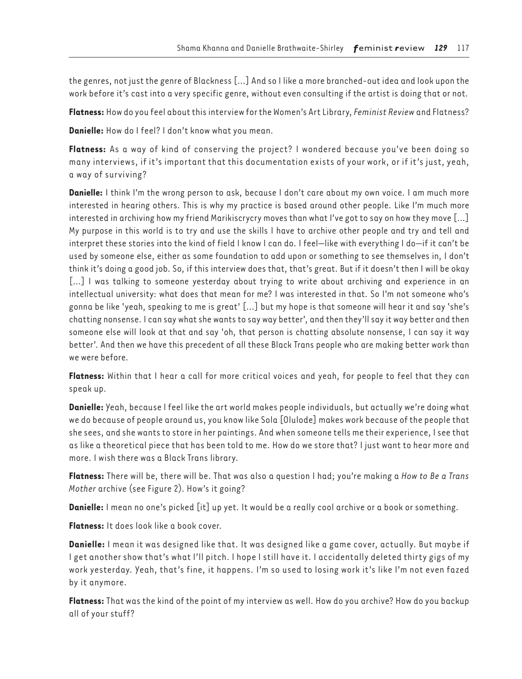the genres, not just the genre of Blackness […] And so I like a more branched-out idea and look upon the work before it's cast into a very specific genre, without even consulting if the artist is doing that or not.

**Flatness:** How do you feel about this interview for the Women's Art Library, *Feminist Review* and Flatness?

**Danielle:** How do I feel? I don't know what you mean.

**Flatness:** As a way of kind of conserving the project? I wondered because you've been doing so many interviews, if it's important that this documentation exists of your work, or if it's just, yeah, a way of surviving?

**Danielle:** I think I'm the wrong person to ask, because I don't care about my own voice. I am much more interested in hearing others. This is why my practice is based around other people. Like I'm much more interested in archiving how my friend Marikiscrycry moves than what I've got to say on how they move […] My purpose in this world is to try and use the skills I have to archive other people and try and tell and interpret these stories into the kind of field I know I can do. I feel—like with everything I do—if it can't be used by someone else, either as some foundation to add upon or something to see themselves in, I don't think it's doing a good job. So, if this interview does that, that's great. But if it doesn't then I will be okay [...] I was talking to someone yesterday about trying to write about archiving and experience in an intellectual university: what does that mean for me? I was interested in that. So I'm not someone who's gonna be like 'yeah, speaking to me is great' […] but my hope is that someone will hear it and say 'she's chatting nonsense. I can say what she wants to say way better', and then they'll say it way better and then someone else will look at that and say 'oh, that person is chatting absolute nonsense, I can say it way better'. And then we have this precedent of all these Black Trans people who are making better work than we were before.

**Flatness:** Within that I hear a call for more critical voices and yeah, for people to feel that they can speak up.

**Danielle:** Yeah, because I feel like the art world makes people individuals, but actually we're doing what we do because of people around us, you know like Sola [Olulode] makes work because of the people that she sees, and she wants to store in her paintings. And when someone tells me their experience, I see that as like a theoretical piece that has been told to me. How do we store that? I just want to hear more and more. I wish there was a Black Trans library.

**Flatness:** There will be, there will be. That was also a question I had; you're making a *How to Be a Trans Mother* archive (see Figure 2). How's it going?

**Danielle:** I mean no one's picked [it] up yet. It would be a really cool archive or a book or something.

**Flatness:** It does look like a book cover.

**Danielle:** I mean it was designed like that. It was designed like a game cover, actually. But maybe if I get another show that's what I'll pitch. I hope I still have it. I accidentally deleted thirty gigs of my work yesterday. Yeah, that's fine, it happens. I'm so used to losing work it's like I'm not even fazed by it anymore.

**Flatness:** That was the kind of the point of my interview as well. How do you archive? How do you backup all of your stuff?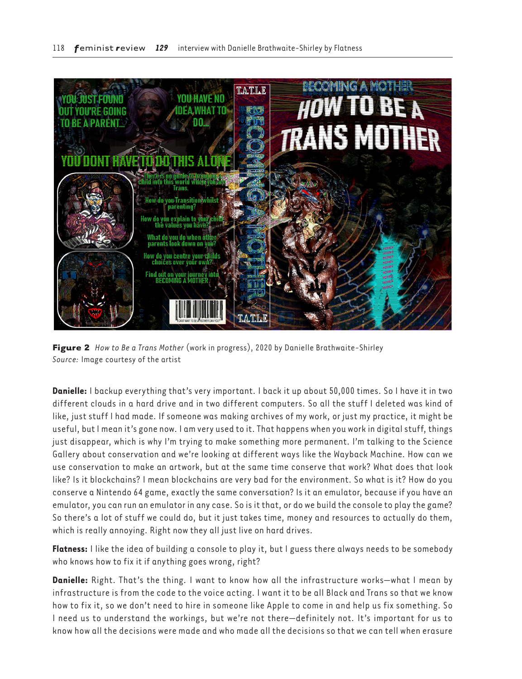

**Figure 2** *How to Be a Trans Mother* (work in progress), 2020 by Danielle Brathwaite-Shirley *Source:* Image courtesy of the artist

**Danielle:** I backup everything that's very important. I back it up about 50,000 times. So I have it in two different clouds in a hard drive and in two different computers. So all the stuff I deleted was kind of like, just stuff I had made. If someone was making archives of my work, or just my practice, it might be useful, but I mean it's gone now. I am very used to it. That happens when you work in digital stuff, things just disappear, which is why I'm trying to make something more permanent. I'm talking to the Science Gallery about conservation and we're looking at different ways like the Wayback Machine. How can we use conservation to make an artwork, but at the same time conserve that work? What does that look like? Is it blockchains? I mean blockchains are very bad for the environment. So what is it? How do you conserve a Nintendo 64 game, exactly the same conversation? Is it an emulator, because if you have an emulator, you can run an emulator in any case. So is it that, or do we build the console to play the game? So there's a lot of stuff we could do, but it just takes time, money and resources to actually do them, which is really annoying. Right now they all just live on hard drives.

**Flatness:** I like the idea of building a console to play it, but I guess there always needs to be somebody who knows how to fix it if anything goes wrong, right?

**Danielle:** Right. That's the thing. I want to know how all the infrastructure works—what I mean by infrastructure is from the code to the voice acting. I want it to be all Black and Trans so that we know how to fix it, so we don't need to hire in someone like Apple to come in and help us fix something. So I need us to understand the workings, but we're not there—definitely not. It's important for us to know how all the decisions were made and who made all the decisions so that we can tell when erasure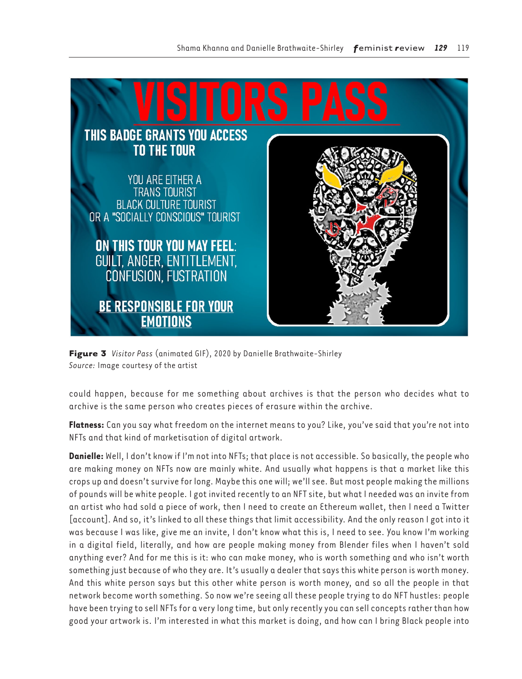

**Figure 3** *Visitor Pass* (animated GIF), 2020 by Danielle Brathwaite-Shirley *Source:* Image courtesy of the artist

could happen, because for me something about archives is that the person who decides what to archive is the same person who creates pieces of erasure within the archive.

**Flatness:** Can you say what freedom on the internet means to you? Like, you've said that you're not into NFTs and that kind of marketisation of digital artwork.

**Danielle:** Well, I don't know if I'm not into NFTs; that place is not accessible. So basically, the people who are making money on NFTs now are mainly white. And usually what happens is that a market like this crops up and doesn't survive for long. Maybe this one will; we'll see. But most people making the millions of pounds will be white people. I got invited recently to an NFT site, but what I needed was an invite from an artist who had sold a piece of work, then I need to create an Ethereum wallet, then I need a Twitter [account]. And so, it's linked to all these things that limit accessibility. And the only reason I got into it was because I was like, give me an invite, I don't know what this is, I need to see. You know I'm working in a digital field, literally, and how are people making money from Blender files when I haven't sold anything ever? And for me this is it: who can make money, who is worth something and who isn't worth something just because of who they are. It's usually a dealer that says this white person is worth money. And this white person says but this other white person is worth money, and so all the people in that network become worth something. So now we're seeing all these people trying to do NFT hustles: people have been trying to sell NFTs for a very long time, but only recently you can sell concepts rather than how good your artwork is. I'm interested in what this market is doing, and how can I bring Black people into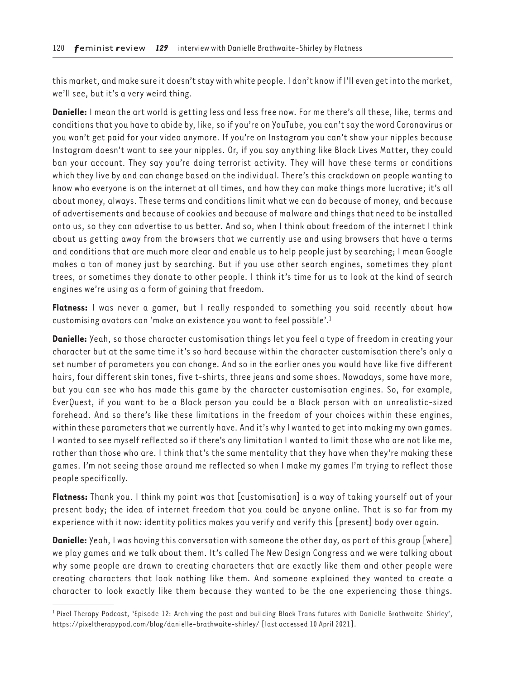this market, and make sure it doesn't stay with white people. I don't know if I'll even get into the market, we'll see, but it's a very weird thing.

**Danielle:** I mean the art world is getting less and less free now. For me there's all these, like, terms and conditions that you have to abide by, like, so if you're on YouTube, you can't say the word Coronavirus or you won't get paid for your video anymore. If you're on Instagram you can't show your nipples because Instagram doesn't want to see your nipples. Or, if you say anything like Black Lives Matter, they could ban your account. They say you're doing terrorist activity. They will have these terms or conditions which they live by and can change based on the individual. There's this crackdown on people wanting to know who everyone is on the internet at all times, and how they can make things more lucrative; it's all about money, always. These terms and conditions limit what we can do because of money, and because of advertisements and because of cookies and because of malware and things that need to be installed onto us, so they can advertise to us better. And so, when I think about freedom of the internet I think about us getting away from the browsers that we currently use and using browsers that have a terms and conditions that are much more clear and enable us to help people just by searching; I mean Google makes a ton of money just by searching. But if you use other search engines, sometimes they plant trees, or sometimes they donate to other people. I think it's time for us to look at the kind of search engines we're using as a form of gaining that freedom.

**Flatness:** I was never a gamer, but I really responded to something you said recently about how customising avatars can 'make an existence you want to feel possible'.1

**Danielle:** Yeah, so those character customisation things let you feel a type of freedom in creating your character but at the same time it's so hard because within the character customisation there's only a set number of parameters you can change. And so in the earlier ones you would have like five different hairs, four different skin tones, five t-shirts, three jeans and some shoes. Nowadays, some have more, but you can see who has made this game by the character customisation engines. So, for example, EverQuest, if you want to be a Black person you could be a Black person with an unrealistic-sized forehead. And so there's like these limitations in the freedom of your choices within these engines, within these parameters that we currently have. And it's why I wanted to get into making my own games. I wanted to see myself reflected so if there's any limitation I wanted to limit those who are not like me, rather than those who are. I think that's the same mentality that they have when they're making these games. I'm not seeing those around me reflected so when I make my games I'm trying to reflect those people specifically.

**Flatness:** Thank you. I think my point was that [customisation] is a way of taking yourself out of your present body; the idea of internet freedom that you could be anyone online. That is so far from my experience with it now: identity politics makes you verify and verify this [present] body over again.

**Danielle:** Yeah, I was having this conversation with someone the other day, as part of this group [where] we play games and we talk about them. It's called The New Design Congress and we were talking about why some people are drawn to creating characters that are exactly like them and other people were creating characters that look nothing like them. And someone explained they wanted to create a character to look exactly like them because they wanted to be the one experiencing those things.

<sup>&</sup>lt;sup>1</sup> Pixel Therapy Podcast, 'Episode 12: Archiving the past and building Black Trans futures with Danielle Brathwaite-Shirley', <https://pixeltherapypod.com/blog/danielle-brathwaite-shirley/>[last accessed 10 April 2021].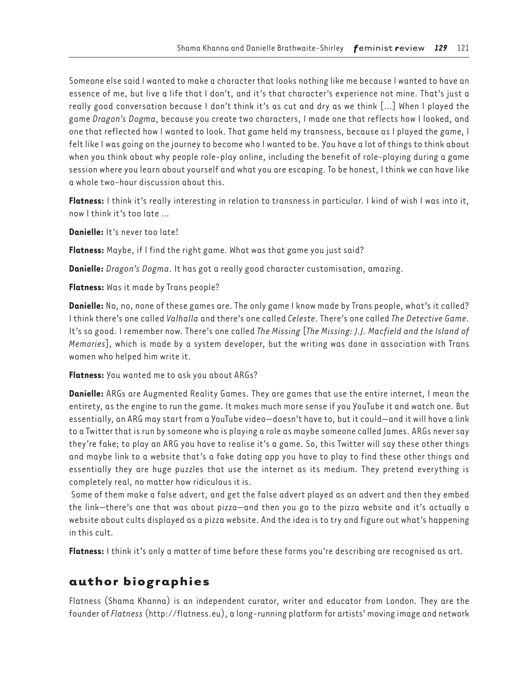Someone else said I wanted to make a character that looks nothing like me because I wanted to have an essence of me, but live a life that I don't, and it's that character's experience not mine. That's just a really good conversation because I don't think it's as cut and dry as we think […] When I played the game *Dragon's Dogma*, because you create two characters, I made one that reflects how I looked, and one that reflected how I wanted to look. That game held my transness, because as I played the game, I felt like I was going on the journey to become who I wanted to be. You have a lot of things to think about when you think about why people role-play online, including the benefit of role-playing during a game session where you learn about yourself and what you are escaping. To be honest, I think we can have like a whole two-hour discussion about this.

**Flatness:** I think it's really interesting in relation to transness in particular. I kind of wish I was into it, now I think it's too late …

**Danielle:** It's never too late!

**Flatness:** Maybe, if I find the right game. What was that game you just said?

**Danielle:** *Dragon's Dogma*. It has got a really good character customisation, amazing.

**Flatness:** Was it made by Trans people?

**Danielle:** No, no, none of these games are. The only game I know made by Trans people, what's it called? I think there's one called *Valhalla* and there's one called *Celeste*. There's one called *The Detective Game*. It's so good. I remember now. There's one called *The Missing* [*The Missing: J.J. Macfield and the Island of Memories*], which is made by a system developer, but the writing was done in association with Trans women who helped him write it.

**Flatness:** You wanted me to ask you about ARGs?

**Danielle:** ARGs are Augmented Reality Games. They are games that use the entire internet, I mean the entirety, as the engine to run the game. It makes much more sense if you YouTube it and watch one. But essentially, an ARG may start from a YouTube video—doesn't have to, but it could—and it will have a link to a Twitter that is run by someone who is playing a role as maybe someone called James. ARGs never say they're fake; to play an ARG you have to realise it's a game. So, this Twitter will say these other things and maybe link to a website that's a fake dating app you have to play to find these other things and essentially they are huge puzzles that use the internet as its medium. They pretend everything is completely real, no matter how ridiculous it is.

 Some of them make a false advert, and get the false advert played as an advert and then they embed the link—there's one that was about pizza—and then you go to the pizza website and it's actually a website about cults displayed as a pizza website. And the idea is to try and figure out what's happening in this cult.

**Flatness:** I think it's only a matter of time before these forms you're describing are recognised as art.

## **author biographies**

Flatness (Shama Khanna) is an independent curator, writer and educator from London. They are the founder of *Flatness* ([http://flatness.eu\)](http://flatness.eu), a long-running platform for artists' moving image and network